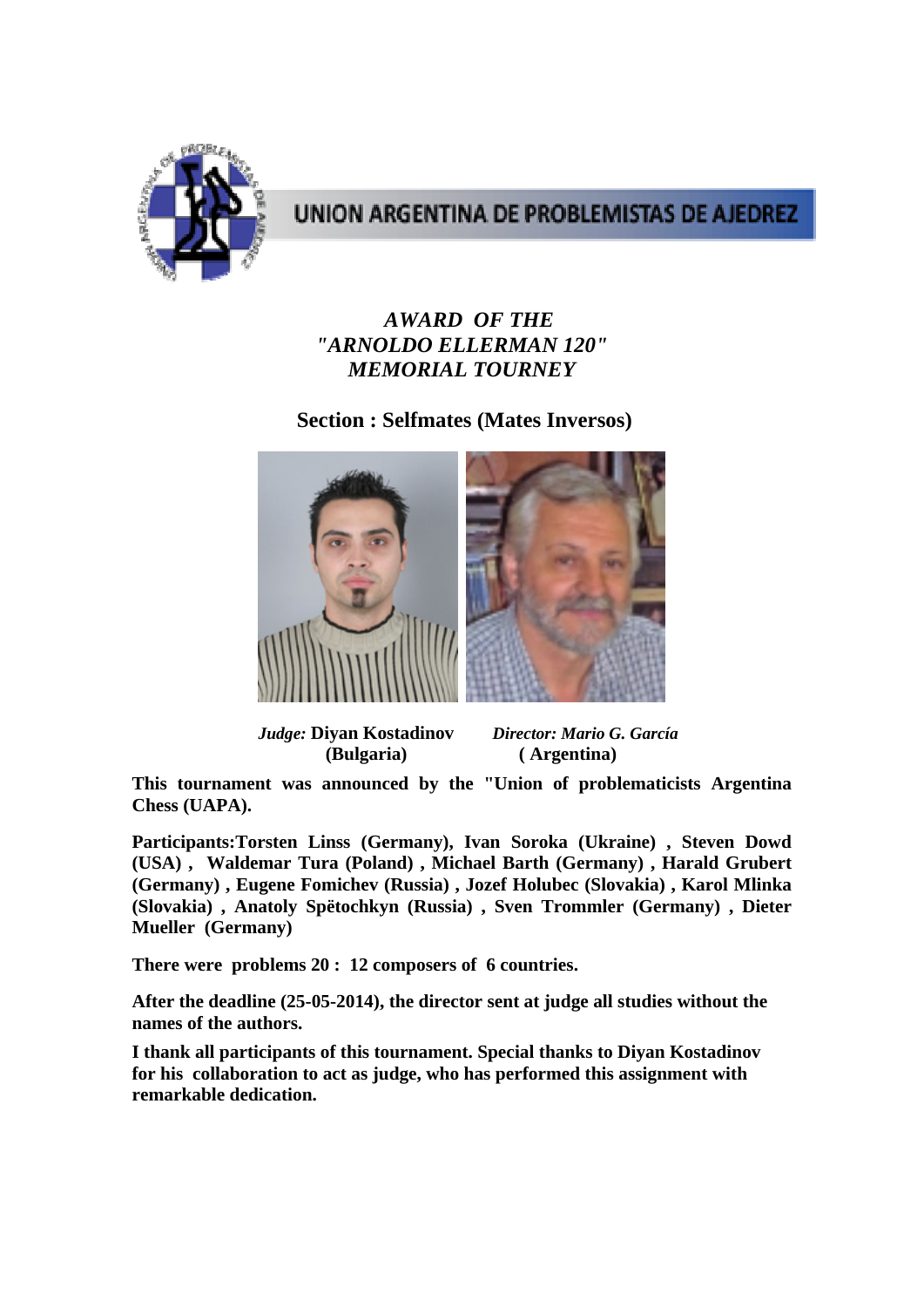

## UNION ARGENTINA DE PROBLEMISTAS DE AJEDREZ

## *AWARD OF THE "ARNOLDO ELLERMAN 120" MEMORIAL TOURNEY*

## **Section : Selfmates (Mates Inversos)**



 *Judge:* **Diyan Kostadinov** *Director: Mario G. García* 

 **(Bulgaria) ( Argentina)**

**This tournament was announced by the "Union of problematicists Argentina Chess (UAPA).** 

**Participants:Torsten Linss (Germany), Ivan Soroka (Ukraine) , Steven Dowd (USA) , Waldemar Tura (Poland) , Michael Barth (Germany) , Harald Grubert (Germany) , Eugene Fomichev (Russia) , Jozef Holubec (Slovakia) , Karol Mlinka (Slovakia) , Anatoly Spëtochkyn (Russia) , Sven Trommler (Germany) , Dieter Mueller (Germany)** 

**There were problems 20 : 12 composers of 6 countries.** 

**After the deadline (25-05-2014), the director sent at judge all studies without the names of the authors.** 

**I thank all participants of this tournament. Special thanks to Diyan Kostadinov** **for his collaboration to act as judge, who has performed this assignment with remarkable dedication.**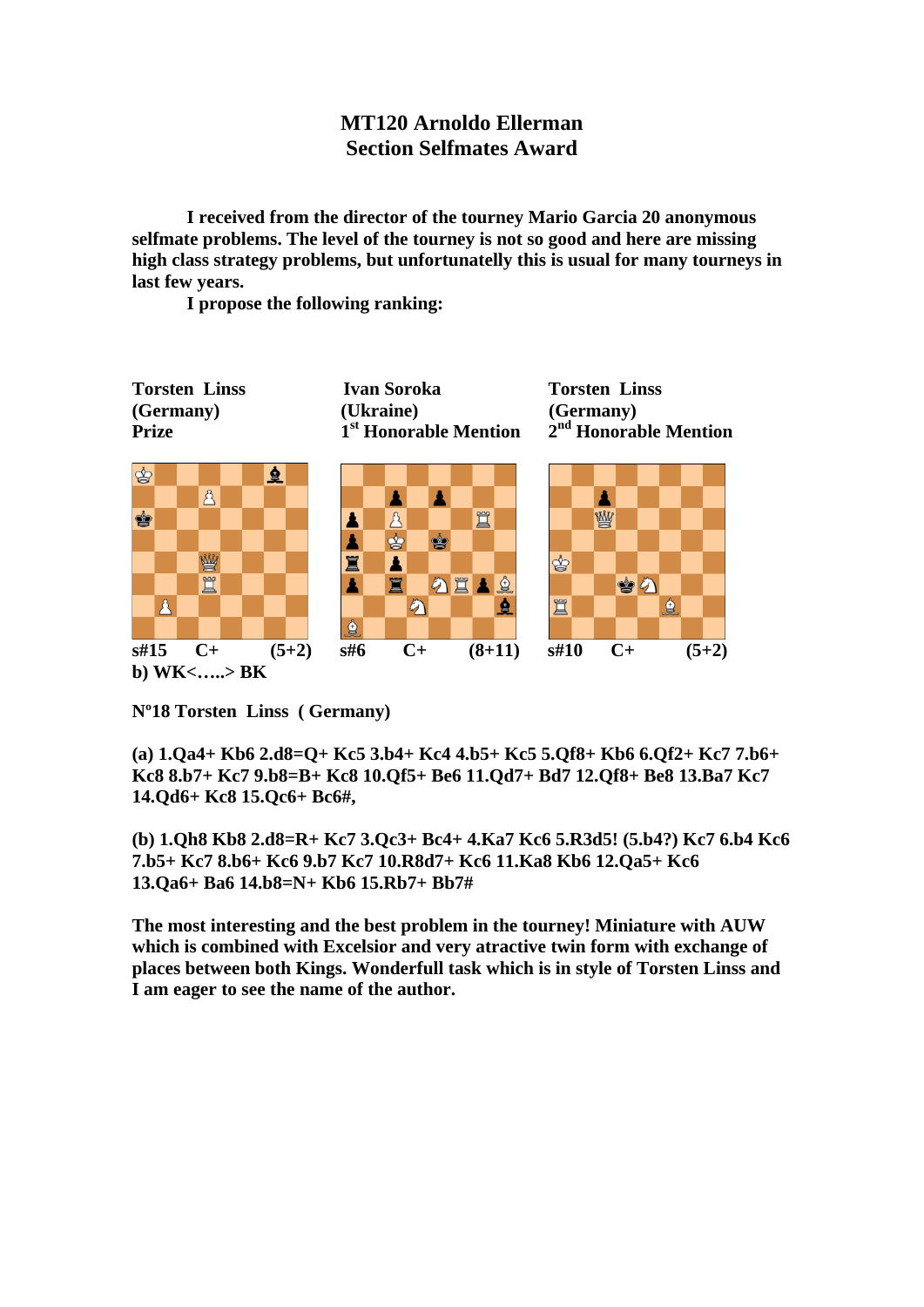## **MT120 Arnoldo Ellerman Section Selfmates Award**

**I received from the director of the tourney Mario Garcia 20 anonymous selfmate problems. The level of the tourney is not so good and here are missing high class strategy problems, but unfortunatelly this is usual for many tourneys in last few years.** 

 **I propose the following ranking:** 



**Nº18 Torsten Linss ( Germany)** 

**(a) 1.Qa4+ Kb6 2.d8=Q+ Kc5 3.b4+ Kc4 4.b5+ Kc5 5.Qf8+ Kb6 6.Qf2+ Kc7 7.b6+ Kc8 8.b7+ Kc7 9.b8=B+ Kc8 10.Qf5+ Be6 11.Qd7+ Bd7 12.Qf8+ Be8 13.Ba7 Kc7 14.Qd6+ Kc8 15.Qc6+ Bc6#,** 

**(b) 1.Qh8 Kb8 2.d8=R+ Kc7 3.Qc3+ Bc4+ 4.Ka7 Kc6 5.R3d5! (5.b4?) Kc7 6.b4 Kc6 7.b5+ Kc7 8.b6+ Kc6 9.b7 Kc7 10.R8d7+ Kc6 11.Ka8 Kb6 12.Qa5+ Kc6 13.Qa6+ Ba6 14.b8=N+ Kb6 15.Rb7+ Bb7#** 

**The most interesting and the best problem in the tourney! Miniature with AUW which is combined with Excelsior and very atractive twin form with exchange of places between both Kings. Wonderfull task which is in style of Torsten Linss and I am eager to see the name of the author.**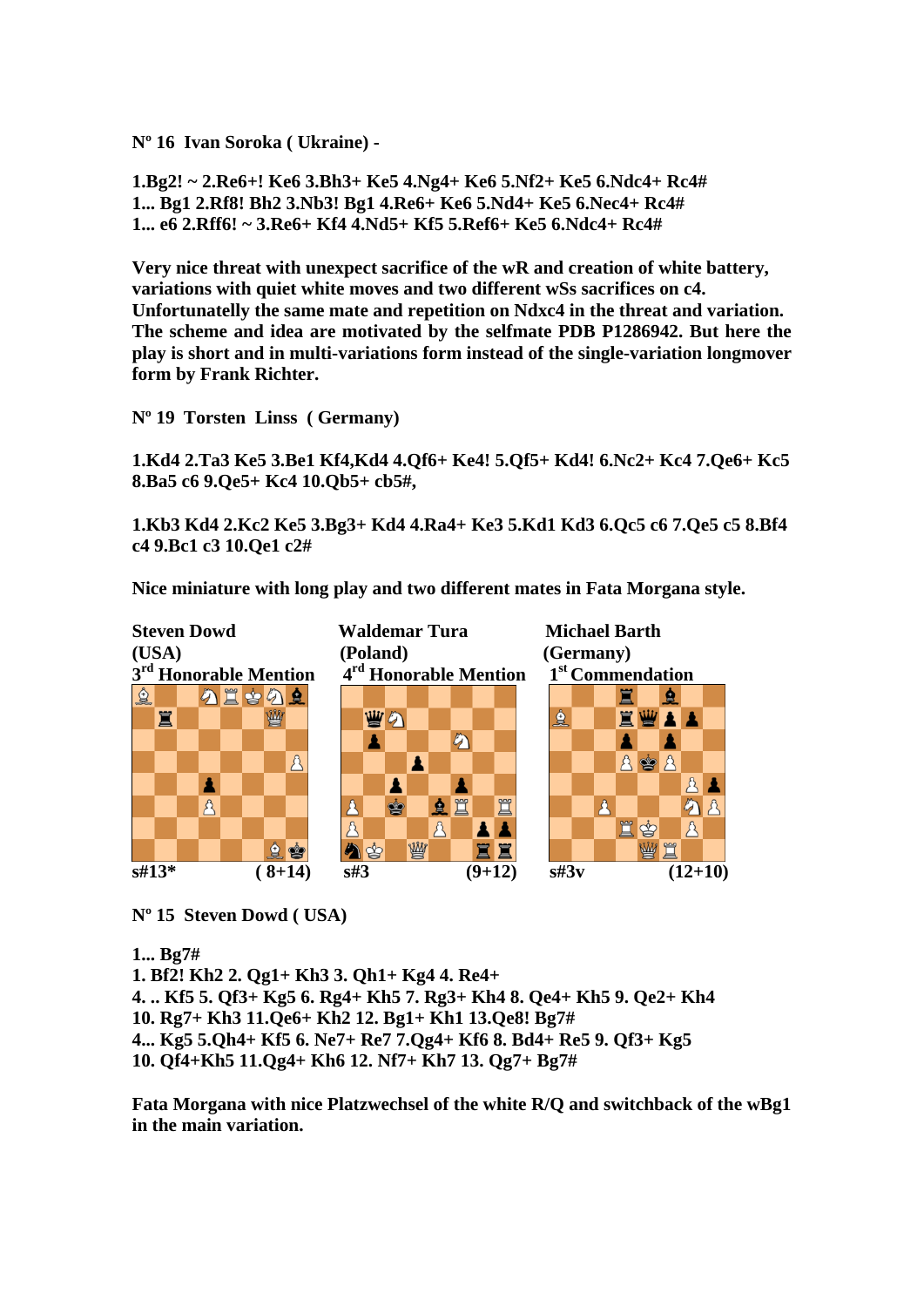**Nº 16 Ivan Soroka ( Ukraine) -** 

**1.Bg2! ~ 2.Re6+! Ke6 3.Bh3+ Ke5 4.Ng4+ Ke6 5.Nf2+ Ke5 6.Ndc4+ Rc4# 1... Bg1 2.Rf8! Bh2 3.Nb3! Bg1 4.Re6+ Ke6 5.Nd4+ Ke5 6.Nec4+ Rc4# 1... e6 2.Rff6! ~ 3.Re6+ Kf4 4.Nd5+ Kf5 5.Ref6+ Ke5 6.Ndc4+ Rc4#** 

**Very nice threat with unexpect sacrifice of the wR and creation of white battery, variations with quiet white moves and two different wSs sacrifices on c4. Unfortunatelly the same mate and repetition on Ndxc4 in the threat and variation. The scheme and idea are motivated by the selfmate PDB P1286942. But here the play is short and in multi-variations form instead of the single-variation longmover form by Frank Richter.** 

**Nº 19 Torsten Linss ( Germany)** 

**1.Kd4 2.Ta3 Ke5 3.Be1 Kf4,Kd4 4.Qf6+ Ke4! 5.Qf5+ Kd4! 6.Nc2+ Kc4 7.Qe6+ Kc5 8.Ba5 c6 9.Qe5+ Kc4 10.Qb5+ cb5#,** 

**1.Kb3 Kd4 2.Kc2 Ke5 3.Bg3+ Kd4 4.Ra4+ Ke3 5.Kd1 Kd3 6.Qc5 c6 7.Qe5 c5 8.Bf4 c4 9.Bc1 c3 10.Qe1 c2#** 

**Nice miniature with long play and two different mates in Fata Morgana style.** 



**Nº 15 Steven Dowd ( USA)** 

**1... Bg7#** 

**1. Bf2! Kh2 2. Qg1+ Kh3 3. Qh1+ Kg4 4. Re4+ 4. .. Kf5 5. Qf3+ Kg5 6. Rg4+ Kh5 7. Rg3+ Kh4 8. Qe4+ Kh5 9. Qe2+ Kh4 10. Rg7+ Kh3 11.Qe6+ Kh2 12. Bg1+ Kh1 13.Qe8! Bg7# 4... Kg5 5.Qh4+ Kf5 6. Ne7+ Re7 7.Qg4+ Kf6 8. Bd4+ Re5 9. Qf3+ Kg5 10. Qf4+Kh5 11.Qg4+ Kh6 12. Nf7+ Kh7 13. Qg7+ Bg7#** 

**Fata Morgana with nice Platzwechsel of the white R/Q and switchback of the wBg1 in the main variation.**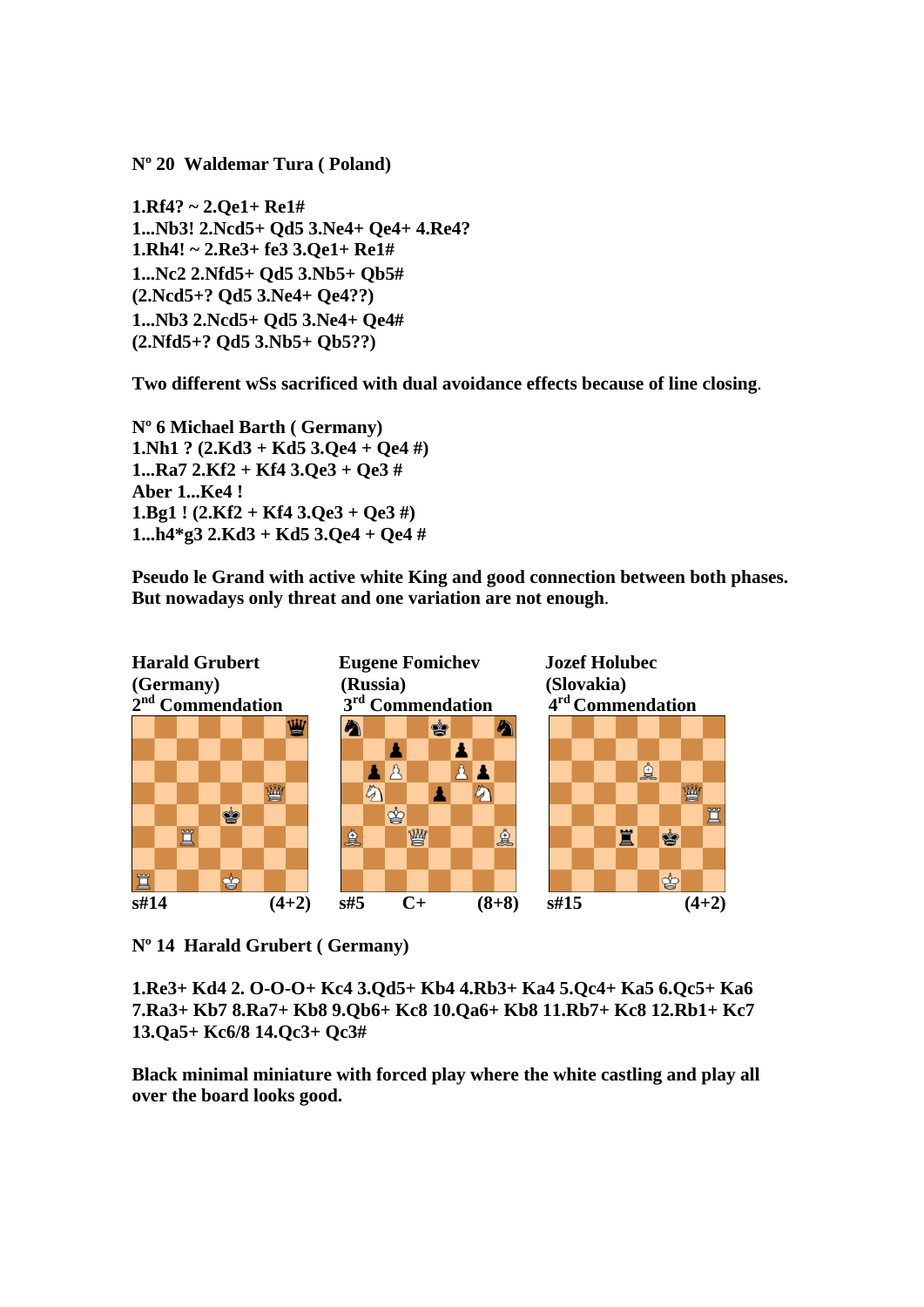**Nº 20 Waldemar Tura ( Poland)** 

**1.Rf4? ~ 2.Qe1+ Re1# 1...Nb3! 2.Ncd5+ Qd5 3.Ne4+ Qe4+ 4.Re4? 1.Rh4! ~ 2.Re3+ fe3 3.Qe1+ Re1# 1...Nc2 2.Nfd5+ Qd5 3.Nb5+ Qb5# (2.Ncd5+? Qd5 3.Ne4+ Qe4??) 1...Nb3 2.Ncd5+ Qd5 3.Ne4+ Qe4# (2.Nfd5+? Qd5 3.Nb5+ Qb5??)** 

**Two different wSs sacrificed with dual avoidance effects because of line closing**.

**Nº 6 Michael Barth ( Germany) 1.Nh1 ? (2.Kd3 + Kd5 3.Qe4 + Qe4 #) 1...Ra7 2.Kf2 + Kf4 3.Qe3 + Qe3 # Aber 1...Ke4 ! 1.Bg1 ! (2.Kf2 + Kf4 3.Qe3 + Qe3 #) 1...h4\*g3 2.Kd3 + Kd5 3.Qe4 + Qe4 #**

**Pseudo le Grand with active white King and good connection between both phases. But nowadays only threat and one variation are not enough**.



**Nº 14 Harald Grubert ( Germany)** 

**1.Re3+ Kd4 2. O-O-O+ Kc4 3.Qd5+ Kb4 4.Rb3+ Ka4 5.Qc4+ Ka5 6.Qc5+ Ka6 7.Ra3+ Kb7 8.Ra7+ Kb8 9.Qb6+ Kc8 10.Qa6+ Kb8 11.Rb7+ Kc8 12.Rb1+ Kc7 13.Qa5+ Kc6/8 14.Qc3+ Qc3#** 

**Black minimal miniature with forced play where the white castling and play all over the board looks good.**